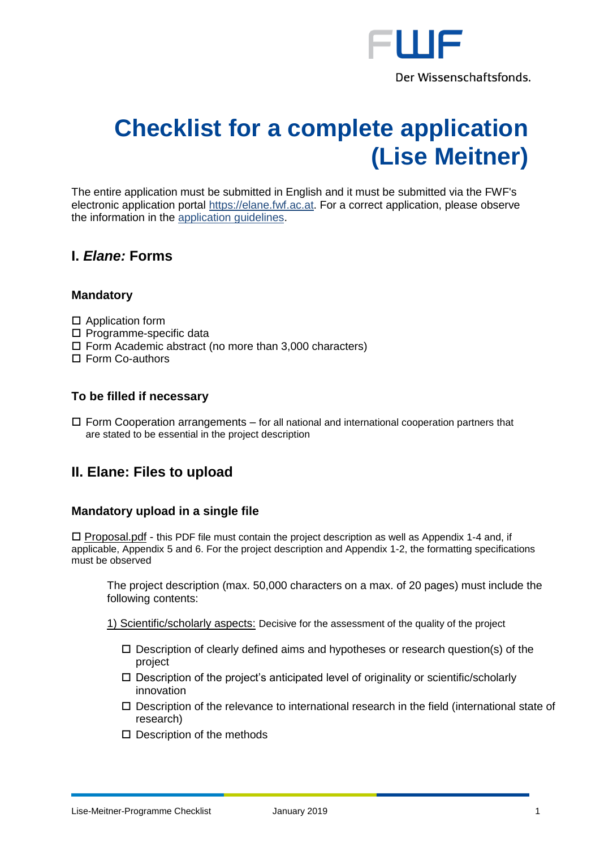

# **Checklist for a complete application (Lise Meitner)**

The entire application must be submitted in English and it must be submitted via the FWF's electronic application portal [https://elane.fwf.ac.at.](https://elane.fwf.ac.at/) For a correct application, please observe the information in the [application guidelines.](https://www.fwf.ac.at/fileadmin/files/Dokumente/Antragstellung/Meitner-Programm/m_application-guidelines.pdf)

# **I.** *Elane:* **Forms**

# **Mandatory**

- □ Application form
- $\square$  Programme-specific data
- $\Box$  Form Academic abstract (no more than 3,000 characters)
- □ Form Co-authors

# **To be filled if necessary**

 $\Box$  Form Cooperation arrangements – for all national and international cooperation partners that are stated to be essential in the project description

# **II. Elane: Files to upload**

### **Mandatory upload in a single file**

 $\Box$  Proposal.pdf - this PDF file must contain the project description as well as Appendix 1-4 and, if applicable, Appendix 5 and 6. For the project description and Appendix 1-2, the formatting specifications must be observed

The project description (max. 50,000 characters on a max. of 20 pages) must include the following contents:

1) Scientific/scholarly aspects: Decisive for the assessment of the quality of the project

- $\Box$  Description of clearly defined aims and hypotheses or research question(s) of the project
- $\square$  Description of the project's anticipated level of originality or scientific/scholarly innovation
- $\Box$  Description of the relevance to international research in the field (international state of research)
- $\square$  Description of the methods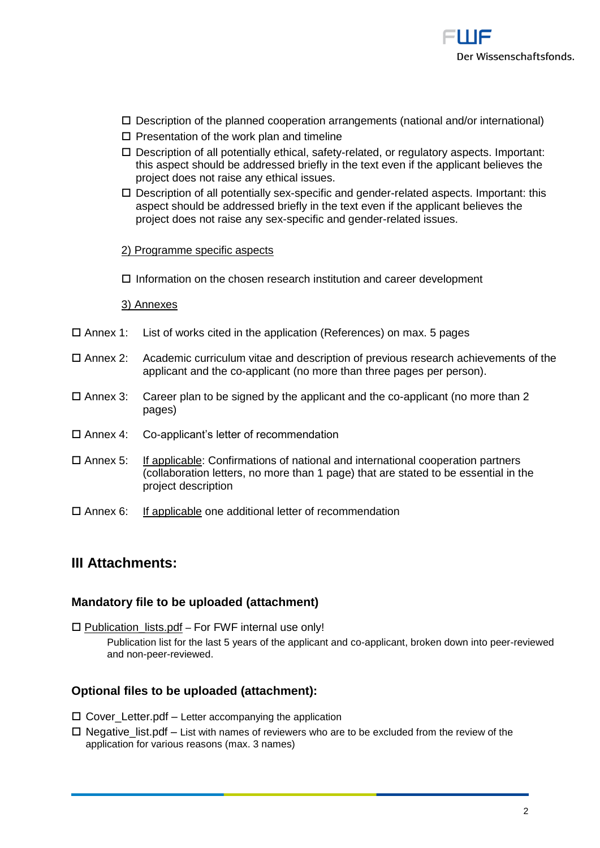

- $\Box$  Description of the planned cooperation arrangements (national and/or international)
- $\square$  Presentation of the work plan and timeline
- Description of all potentially ethical, safety-related, or regulatory aspects. Important: this aspect should be addressed briefly in the text even if the applicant believes the project does not raise any ethical issues.
- $\square$  Description of all potentially sex-specific and gender-related aspects. Important: this aspect should be addressed briefly in the text even if the applicant believes the project does not raise any sex-specific and gender-related issues.

#### 2) Programme specific aspects

 $\Box$  Information on the chosen research institution and career development

#### 3) Annexes

- $\Box$  Annex 1: List of works cited in the application (References) on max. 5 pages
- Annex 2: Academic curriculum vitae and description of previous research achievements of the applicant and the co-applicant (no more than three pages per person).
- $\Box$  Annex 3: Career plan to be signed by the applicant and the co-applicant (no more than 2 pages)
- Annex 4: Co-applicant's letter of recommendation
- Annex 5: If applicable: Confirmations of national and international cooperation partners (collaboration letters, no more than 1 page) that are stated to be essential in the project description
- $\Box$  Annex 6: If applicable one additional letter of recommendation

# **III Attachments:**

#### **Mandatory file to be uploaded (attachment)**

 $\square$  Publication lists.pdf – For FWF internal use only!

Publication list for the last 5 years of the applicant and co-applicant, broken down into peer-reviewed and non-peer-reviewed.

# **Optional files to be uploaded (attachment):**

- $\Box$  Cover\_Letter.pdf Letter accompanying the application
- $\Box$  Negative list.pdf List with names of reviewers who are to be excluded from the review of the application for various reasons (max. 3 names)